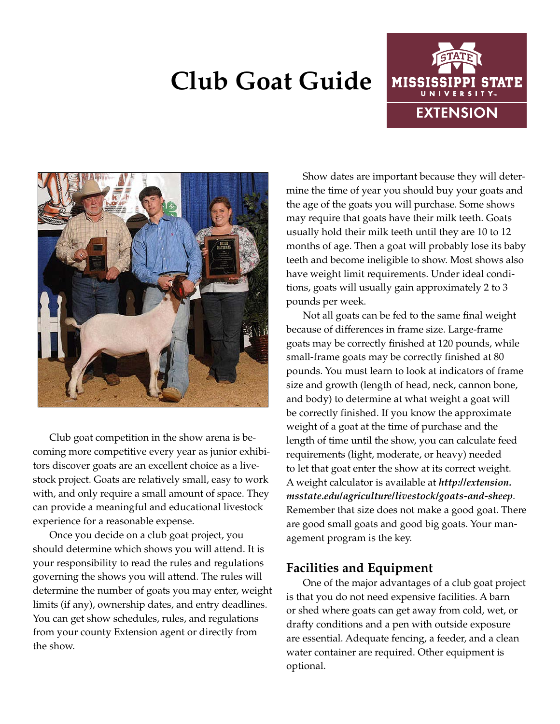# **Club Goat Guide**





Club goat competition in the show arena is becoming more competitive every year as junior exhibitors discover goats are an excellent choice as a livestock project. Goats are relatively small, easy to work with, and only require a small amount of space. They can provide a meaningful and educational livestock experience for a reasonable expense.

Once you decide on a club goat project, you should determine which shows you will attend. It is your responsibility to read the rules and regulations governing the shows you will attend. The rules will determine the number of goats you may enter, weight limits (if any), ownership dates, and entry deadlines. You can get show schedules, rules, and regulations from your county Extension agent or directly from the show.

Show dates are important because they will determine the time of year you should buy your goats and the age of the goats you will purchase. Some shows may require that goats have their milk teeth. Goats usually hold their milk teeth until they are 10 to 12 months of age. Then a goat will probably lose its baby teeth and become ineligible to show. Most shows also have weight limit requirements. Under ideal conditions, goats will usually gain approximately 2 to 3 pounds per week.

Not all goats can be fed to the same final weight because of differences in frame size. Large-frame goats may be correctly finished at 120 pounds, while small-frame goats may be correctly finished at 80 pounds. You must learn to look at indicators of frame size and growth (length of head, neck, cannon bone, and body) to determine at what weight a goat will be correctly finished. If you know the approximate weight of a goat at the time of purchase and the length of time until the show, you can calculate feed requirements (light, moderate, or heavy) needed to let that goat enter the show at its correct weight. A weight calculator is available at *http://extension. msstate.edu/agriculture/livestock/goats-and-sheep*. Remember that size does not make a good goat. There are good small goats and good big goats. Your management program is the key.

# **Facilities and Equipment**

One of the major advantages of a club goat project is that you do not need expensive facilities. A barn or shed where goats can get away from cold, wet, or drafty conditions and a pen with outside exposure are essential. Adequate fencing, a feeder, and a clean water container are required. Other equipment is optional.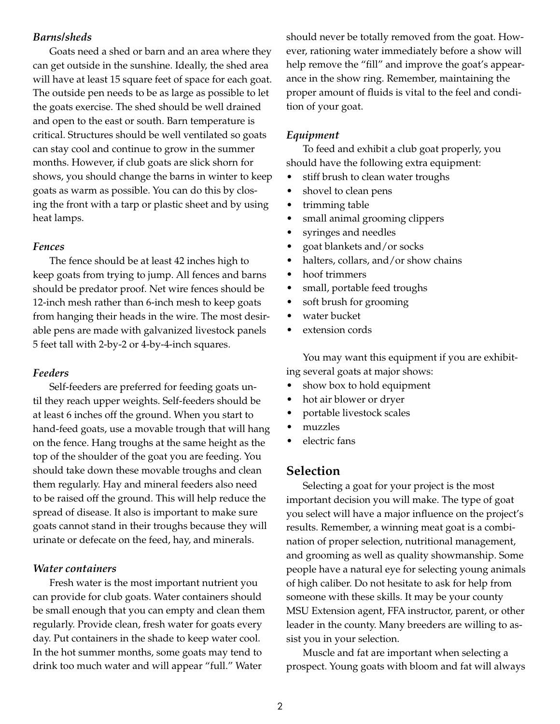## *Barns/sheds*

Goats need a shed or barn and an area where they can get outside in the sunshine. Ideally, the shed area will have at least 15 square feet of space for each goat. The outside pen needs to be as large as possible to let the goats exercise. The shed should be well drained and open to the east or south. Barn temperature is critical. Structures should be well ventilated so goats can stay cool and continue to grow in the summer months. However, if club goats are slick shorn for shows, you should change the barns in winter to keep goats as warm as possible. You can do this by closing the front with a tarp or plastic sheet and by using heat lamps.

#### *Fences*

The fence should be at least 42 inches high to keep goats from trying to jump. All fences and barns should be predator proof. Net wire fences should be 12-inch mesh rather than 6-inch mesh to keep goats from hanging their heads in the wire. The most desirable pens are made with galvanized livestock panels 5 feet tall with 2-by-2 or 4-by-4-inch squares.

#### *Feeders*

Self-feeders are preferred for feeding goats until they reach upper weights. Self-feeders should be at least 6 inches off the ground. When you start to hand-feed goats, use a movable trough that will hang on the fence. Hang troughs at the same height as the top of the shoulder of the goat you are feeding. You should take down these movable troughs and clean them regularly. Hay and mineral feeders also need to be raised off the ground. This will help reduce the spread of disease. It also is important to make sure goats cannot stand in their troughs because they will urinate or defecate on the feed, hay, and minerals.

#### *Water containers*

Fresh water is the most important nutrient you can provide for club goats. Water containers should be small enough that you can empty and clean them regularly. Provide clean, fresh water for goats every day. Put containers in the shade to keep water cool. In the hot summer months, some goats may tend to drink too much water and will appear "full." Water

should never be totally removed from the goat. However, rationing water immediately before a show will help remove the "fill" and improve the goat's appearance in the show ring. Remember, maintaining the proper amount of fluids is vital to the feel and condition of your goat.

#### *Equipment*

To feed and exhibit a club goat properly, you should have the following extra equipment:

- stiff brush to clean water troughs
- shovel to clean pens
- trimming table
- small animal grooming clippers
- syringes and needles
- goat blankets and/or socks
- halters, collars, and/or show chains
- hoof trimmers
- small, portable feed troughs
- soft brush for grooming
- water bucket
- extension cords

You may want this equipment if you are exhibiting several goats at major shows:

- show box to hold equipment
- hot air blower or dryer
- portable livestock scales
- muzzles
- electric fans

## **Selection**

Selecting a goat for your project is the most important decision you will make. The type of goat you select will have a major influence on the project's results. Remember, a winning meat goat is a combination of proper selection, nutritional management, and grooming as well as quality showmanship. Some people have a natural eye for selecting young animals of high caliber. Do not hesitate to ask for help from someone with these skills. It may be your county MSU Extension agent, FFA instructor, parent, or other leader in the county. Many breeders are willing to assist you in your selection.

Muscle and fat are important when selecting a prospect. Young goats with bloom and fat will always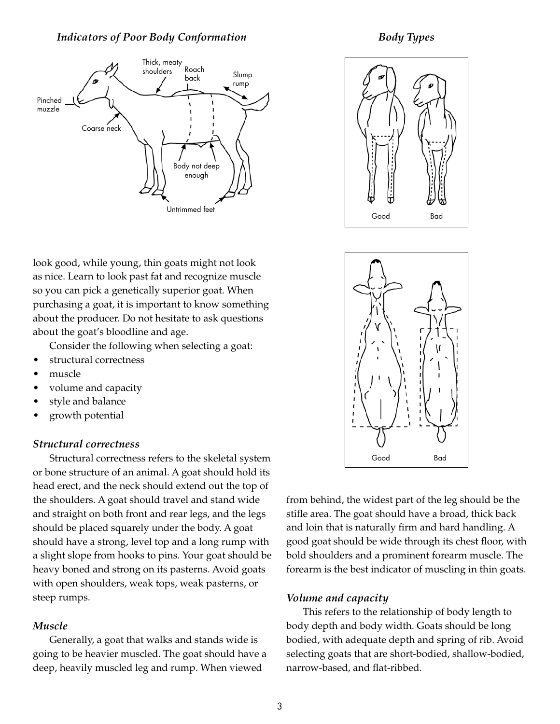## *Indicators of Poor Body Conformation*



*Body Types*



look good, while young, thin goats might not look as nice. Learn to look past fat and recognize muscle so you can pick a genetically superior goat. When purchasing a goat, it is important to know something about the producer. Do not hesitate to ask questions about the goat's bloodline and age.

Consider the following when selecting a goat:

- structural correctness
- muscle
- volume and capacity
- style and balance
- growth potential

### *Structural correctness*

Structural correctness refers to the skeletal system or bone structure of an animal. A goat should hold its head erect, and the neck should extend out the top of the shoulders. A goat should travel and stand wide and straight on both front and rear legs, and the legs should be placed squarely under the body. A goat should have a strong, level top and a long rump with a slight slope from hooks to pins. Your goat should be heavy boned and strong on its pasterns. Avoid goats with open shoulders, weak tops, weak pasterns, or steep rumps.

## *Muscle*

Generally, a goat that walks and stands wide is going to be heavier muscled. The goat should have a deep, heavily muscled leg and rump. When viewed



from behind, the widest part of the leg should be the stifle area. The goat should have a broad, thick back and loin that is naturally firm and hard handling. A good goat should be wide through its chest floor, with bold shoulders and a prominent forearm muscle. The forearm is the best indicator of muscling in thin goats.

## *Volume and capacity*

This refers to the relationship of body length to body depth and body width. Goats should be long bodied, with adequate depth and spring of rib. Avoid selecting goats that are short-bodied, shallow-bodied, narrow-based, and flat-ribbed.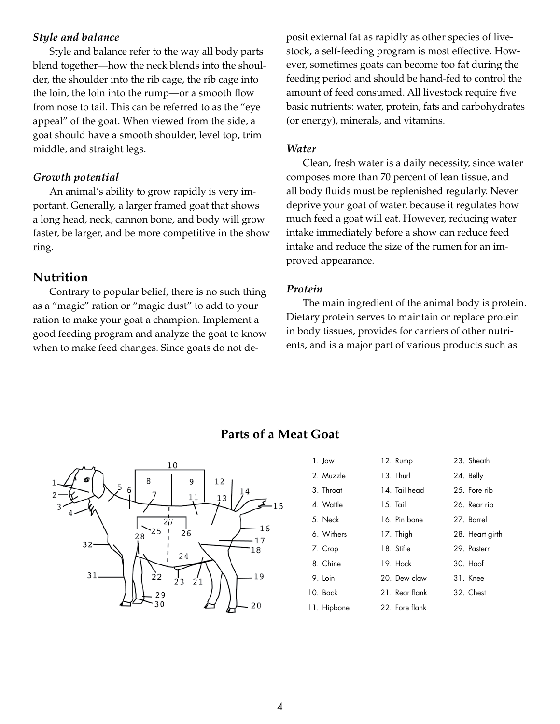## *Style and balance*

Style and balance refer to the way all body parts blend together—how the neck blends into the shoulder, the shoulder into the rib cage, the rib cage into the loin, the loin into the rump—or a smooth flow from nose to tail. This can be referred to as the "eye appeal" of the goat. When viewed from the side, a goat should have a smooth shoulder, level top, trim middle, and straight legs.

## *Growth potential*

An animal's ability to grow rapidly is very important. Generally, a larger framed goat that shows a long head, neck, cannon bone, and body will grow faster, be larger, and be more competitive in the show ring.

# **Nutrition**

Contrary to popular belief, there is no such thing as a "magic" ration or "magic dust" to add to your ration to make your goat a champion. Implement a good feeding program and analyze the goat to know when to make feed changes. Since goats do not deposit external fat as rapidly as other species of livestock, a self-feeding program is most effective. However, sometimes goats can become too fat during the feeding period and should be hand-fed to control the amount of feed consumed. All livestock require five basic nutrients: water, protein, fats and carbohydrates (or energy), minerals, and vitamins.

### *Water*

Clean, fresh water is a daily necessity, since water composes more than 70 percent of lean tissue, and all body fluids must be replenished regularly. Never deprive your goat of water, because it regulates how much feed a goat will eat. However, reducing water intake immediately before a show can reduce feed intake and reduce the size of the rumen for an improved appearance.

### *Protein*

The main ingredient of the animal body is protein. Dietary protein serves to maintain or replace protein in body tissues, provides for carriers of other nutrients, and is a major part of various products such as



# **Parts of a Meat Goat**

| 1. Jaw      | 12. Rump   |                | 23. Sheath      |
|-------------|------------|----------------|-----------------|
| 2. Muzzle   | 13. Thurl  |                | 24. Belly       |
| 3. Throat   |            | 14. Tail head  | 25. Fore rib    |
| 4. Wattle   | $15.$ Tail |                | 26. Rear rib    |
| 5. Neck     |            | 16. Pin bone   | 27. Barrel      |
| 6. Withers  | 17. Thigh  |                | 28. Heart girth |
| 7. Crop     | 18. Stifle |                | 29. Pastern     |
| 8. Chine    | 19 Hock    |                | $30.$ Hoof      |
| 9. Loin     |            | 20. Dew claw   | 31. Knee        |
| 10. Back    |            | 21 Rear flank  | 32. Chest       |
| 11. Hipbone |            | 22. Fore flank |                 |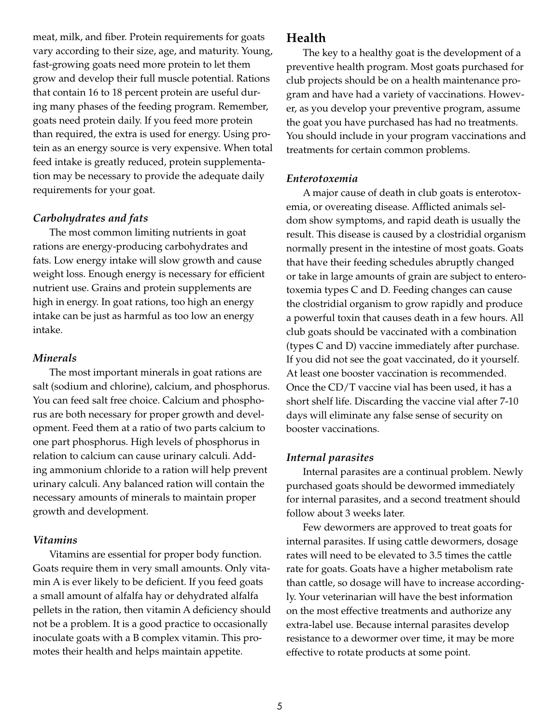meat, milk, and fiber. Protein requirements for goats vary according to their size, age, and maturity. Young, fast-growing goats need more protein to let them grow and develop their full muscle potential. Rations that contain 16 to 18 percent protein are useful during many phases of the feeding program. Remember, goats need protein daily. If you feed more protein than required, the extra is used for energy. Using protein as an energy source is very expensive. When total feed intake is greatly reduced, protein supplementation may be necessary to provide the adequate daily requirements for your goat.

## *Carbohydrates and fats*

The most common limiting nutrients in goat rations are energy-producing carbohydrates and fats. Low energy intake will slow growth and cause weight loss. Enough energy is necessary for efficient nutrient use. Grains and protein supplements are high in energy. In goat rations, too high an energy intake can be just as harmful as too low an energy intake.

### *Minerals*

The most important minerals in goat rations are salt (sodium and chlorine), calcium, and phosphorus. You can feed salt free choice. Calcium and phosphorus are both necessary for proper growth and development. Feed them at a ratio of two parts calcium to one part phosphorus. High levels of phosphorus in relation to calcium can cause urinary calculi. Adding ammonium chloride to a ration will help prevent urinary calculi. Any balanced ration will contain the necessary amounts of minerals to maintain proper growth and development.

#### *Vitamins*

Vitamins are essential for proper body function. Goats require them in very small amounts. Only vitamin A is ever likely to be deficient. If you feed goats a small amount of alfalfa hay or dehydrated alfalfa pellets in the ration, then vitamin A deficiency should not be a problem. It is a good practice to occasionally inoculate goats with a B complex vitamin. This promotes their health and helps maintain appetite.

## **Health**

The key to a healthy goat is the development of a preventive health program. Most goats purchased for club projects should be on a health maintenance program and have had a variety of vaccinations. However, as you develop your preventive program, assume the goat you have purchased has had no treatments. You should include in your program vaccinations and treatments for certain common problems.

#### *Enterotoxemia*

A major cause of death in club goats is enterotoxemia, or overeating disease. Afflicted animals seldom show symptoms, and rapid death is usually the result. This disease is caused by a clostridial organism normally present in the intestine of most goats. Goats that have their feeding schedules abruptly changed or take in large amounts of grain are subject to enterotoxemia types C and D. Feeding changes can cause the clostridial organism to grow rapidly and produce a powerful toxin that causes death in a few hours. All club goats should be vaccinated with a combination (types C and D) vaccine immediately after purchase. If you did not see the goat vaccinated, do it yourself. At least one booster vaccination is recommended. Once the CD/T vaccine vial has been used, it has a short shelf life. Discarding the vaccine vial after 7-10 days will eliminate any false sense of security on booster vaccinations.

### *Internal parasites*

Internal parasites are a continual problem. Newly purchased goats should be dewormed immediately for internal parasites, and a second treatment should follow about 3 weeks later.

Few dewormers are approved to treat goats for internal parasites. If using cattle dewormers, dosage rates will need to be elevated to 3.5 times the cattle rate for goats. Goats have a higher metabolism rate than cattle, so dosage will have to increase accordingly. Your veterinarian will have the best information on the most effective treatments and authorize any extra-label use. Because internal parasites develop resistance to a dewormer over time, it may be more effective to rotate products at some point.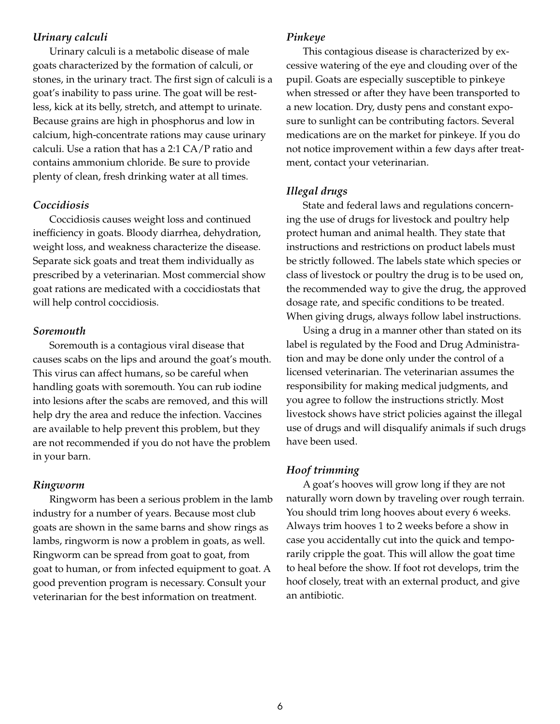## *Urinary calculi*

Urinary calculi is a metabolic disease of male goats characterized by the formation of calculi, or stones, in the urinary tract. The first sign of calculi is a goat's inability to pass urine. The goat will be restless, kick at its belly, stretch, and attempt to urinate. Because grains are high in phosphorus and low in calcium, high-concentrate rations may cause urinary calculi. Use a ration that has a 2:1 CA/P ratio and contains ammonium chloride. Be sure to provide plenty of clean, fresh drinking water at all times.

## *Coccidiosis*

Coccidiosis causes weight loss and continued inefficiency in goats. Bloody diarrhea, dehydration, weight loss, and weakness characterize the disease. Separate sick goats and treat them individually as prescribed by a veterinarian. Most commercial show goat rations are medicated with a coccidiostats that will help control coccidiosis.

## *Soremouth*

Soremouth is a contagious viral disease that causes scabs on the lips and around the goat's mouth. This virus can affect humans, so be careful when handling goats with soremouth. You can rub iodine into lesions after the scabs are removed, and this will help dry the area and reduce the infection. Vaccines are available to help prevent this problem, but they are not recommended if you do not have the problem in your barn.

#### *Ringworm*

Ringworm has been a serious problem in the lamb industry for a number of years. Because most club goats are shown in the same barns and show rings as lambs, ringworm is now a problem in goats, as well. Ringworm can be spread from goat to goat, from goat to human, or from infected equipment to goat. A good prevention program is necessary. Consult your veterinarian for the best information on treatment.

#### *Pinkeye*

This contagious disease is characterized by excessive watering of the eye and clouding over of the pupil. Goats are especially susceptible to pinkeye when stressed or after they have been transported to a new location. Dry, dusty pens and constant exposure to sunlight can be contributing factors. Several medications are on the market for pinkeye. If you do not notice improvement within a few days after treatment, contact your veterinarian.

## *Illegal drugs*

State and federal laws and regulations concerning the use of drugs for livestock and poultry help protect human and animal health. They state that instructions and restrictions on product labels must be strictly followed. The labels state which species or class of livestock or poultry the drug is to be used on, the recommended way to give the drug, the approved dosage rate, and specific conditions to be treated. When giving drugs, always follow label instructions.

Using a drug in a manner other than stated on its label is regulated by the Food and Drug Administration and may be done only under the control of a licensed veterinarian. The veterinarian assumes the responsibility for making medical judgments, and you agree to follow the instructions strictly. Most livestock shows have strict policies against the illegal use of drugs and will disqualify animals if such drugs have been used.

## *Hoof trimming*

A goat's hooves will grow long if they are not naturally worn down by traveling over rough terrain. You should trim long hooves about every 6 weeks. Always trim hooves 1 to 2 weeks before a show in case you accidentally cut into the quick and temporarily cripple the goat. This will allow the goat time to heal before the show. If foot rot develops, trim the hoof closely, treat with an external product, and give an antibiotic.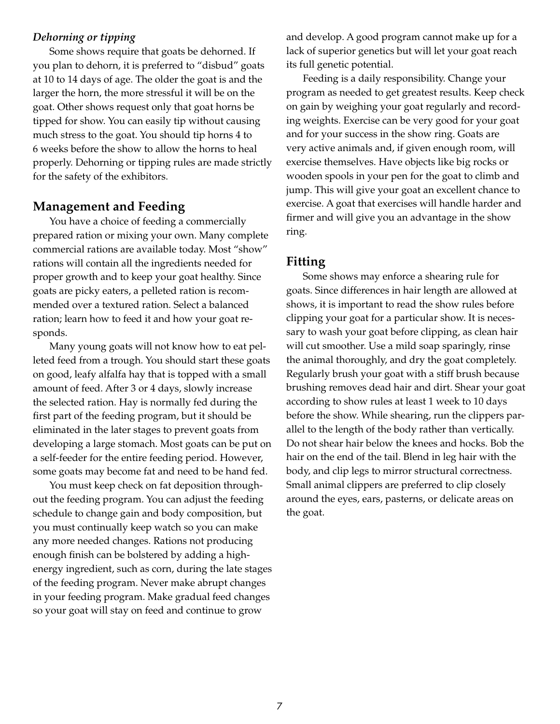## *Dehorning or tipping*

Some shows require that goats be dehorned. If you plan to dehorn, it is preferred to "disbud" goats at 10 to 14 days of age. The older the goat is and the larger the horn, the more stressful it will be on the goat. Other shows request only that goat horns be tipped for show. You can easily tip without causing much stress to the goat. You should tip horns 4 to 6 weeks before the show to allow the horns to heal properly. Dehorning or tipping rules are made strictly for the safety of the exhibitors.

## **Management and Feeding**

You have a choice of feeding a commercially prepared ration or mixing your own. Many complete commercial rations are available today. Most "show" rations will contain all the ingredients needed for proper growth and to keep your goat healthy. Since goats are picky eaters, a pelleted ration is recommended over a textured ration. Select a balanced ration; learn how to feed it and how your goat responds.

Many young goats will not know how to eat pelleted feed from a trough. You should start these goats on good, leafy alfalfa hay that is topped with a small amount of feed. After 3 or 4 days, slowly increase the selected ration. Hay is normally fed during the first part of the feeding program, but it should be eliminated in the later stages to prevent goats from developing a large stomach. Most goats can be put on a self-feeder for the entire feeding period. However, some goats may become fat and need to be hand fed.

You must keep check on fat deposition throughout the feeding program. You can adjust the feeding schedule to change gain and body composition, but you must continually keep watch so you can make any more needed changes. Rations not producing enough finish can be bolstered by adding a highenergy ingredient, such as corn, during the late stages of the feeding program. Never make abrupt changes in your feeding program. Make gradual feed changes so your goat will stay on feed and continue to grow

and develop. A good program cannot make up for a lack of superior genetics but will let your goat reach its full genetic potential.

Feeding is a daily responsibility. Change your program as needed to get greatest results. Keep check on gain by weighing your goat regularly and recording weights. Exercise can be very good for your goat and for your success in the show ring. Goats are very active animals and, if given enough room, will exercise themselves. Have objects like big rocks or wooden spools in your pen for the goat to climb and jump. This will give your goat an excellent chance to exercise. A goat that exercises will handle harder and firmer and will give you an advantage in the show ring.

# **Fitting**

Some shows may enforce a shearing rule for goats. Since differences in hair length are allowed at shows, it is important to read the show rules before clipping your goat for a particular show. It is necessary to wash your goat before clipping, as clean hair will cut smoother. Use a mild soap sparingly, rinse the animal thoroughly, and dry the goat completely. Regularly brush your goat with a stiff brush because brushing removes dead hair and dirt. Shear your goat according to show rules at least 1 week to 10 days before the show. While shearing, run the clippers parallel to the length of the body rather than vertically. Do not shear hair below the knees and hocks. Bob the hair on the end of the tail. Blend in leg hair with the body, and clip legs to mirror structural correctness. Small animal clippers are preferred to clip closely around the eyes, ears, pasterns, or delicate areas on the goat.